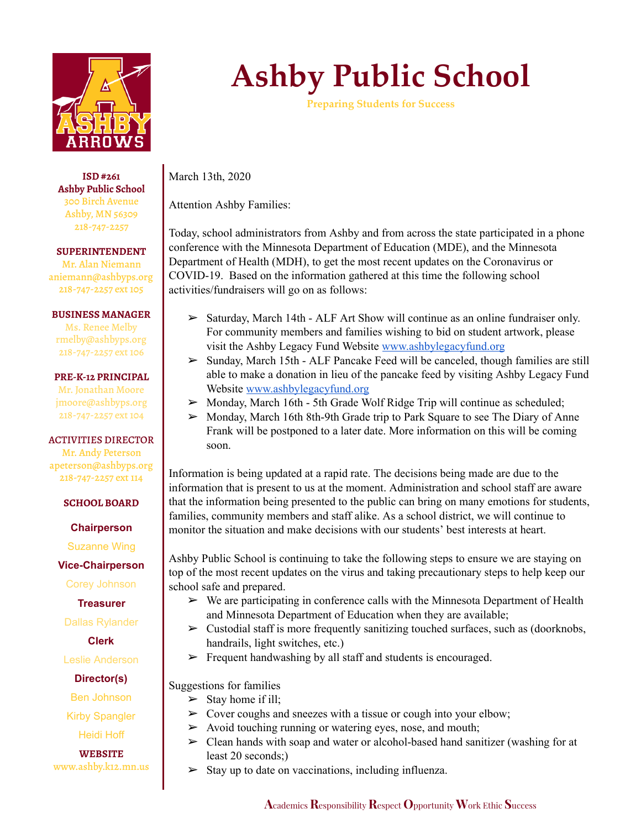

**ISD #261 Ashby Public School** 300 Birch Avenue Ashby, MN 56309 218-747-2257

**SUPERINTENDENT**

Mr. Alan Niemann aniemann@ashbyps.org 218-747-2257 ext 105

## **BUSINESS MANAGER**

Ms. Renee Melby rmelby@ashbyps.org 218-747-2257 ext 106

## **PRE-K-12 PRINCIPAL**

Mr. Jonathan Moore jmoore@ashbyps.org 218-747-2257 ext 104

## ACTIVITIES DIRECTOR

Mr. Andy Peterson apeterson@ashbyps.org 218-747-2257 ext 114

**SCHOOL BOARD**

**Chairperson**

Suzanne Wing

**Vice-Chairperson**

Corey Johnson

**Treasurer**

Dallas Rylander

**Clerk**

Leslie Anderson

**Director(s)**

Ben Johnson

Kirby Spangler

Heidi Hoff

**WEBSITE** www.ashby.k12.mn.us

## **Ashby Public School**

**Preparing Students for Success**

March 13th, 2020

Attention Ashby Families:

Today, school administrators from Ashby and from across the state participated in a phone conference with the Minnesota Department of Education (MDE), and the Minnesota Department of Health (MDH), to get the most recent updates on the Coronavirus or COVID-19. Based on the information gathered at this time the following school activities/fundraisers will go on as follows:

- $\triangleright$  Saturday, March 14th ALF Art Show will continue as an online fundraiser only. For community members and families wishing to bid on student artwork, please visit the Ashby Legacy Fund Website [www.ashbylegacyfund.org](http://www.ashbylegacyfund.org/)
- $\triangleright$  Sunday, March 15th ALF Pancake Feed will be canceled, though families are still able to make a donation in lieu of the pancake feed by visiting Ashby Legacy Fund Website [www.ashbylegacyfund.org](http://www.ashbylegacyfund.org/)
- ➢ Monday, March 16th 5th Grade Wolf Ridge Trip will continue as scheduled;
- $\triangleright$  Monday, March 16th 8th-9th Grade trip to Park Square to see The Diary of Anne Frank will be postponed to a later date. More information on this will be coming soon.

Information is being updated at a rapid rate. The decisions being made are due to the information that is present to us at the moment. Administration and school staff are aware that the information being presented to the public can bring on many emotions for students, families, community members and staff alike. As a school district, we will continue to monitor the situation and make decisions with our students' best interests at heart.

Ashby Public School is continuing to take the following steps to ensure we are staying on top of the most recent updates on the virus and taking precautionary steps to help keep our school safe and prepared.

- $\triangleright$  We are participating in conference calls with the Minnesota Department of Health and Minnesota Department of Education when they are available;
- $\triangleright$  Custodial staff is more frequently sanitizing touched surfaces, such as (doorknobs, handrails, light switches, etc.)
- $\triangleright$  Frequent handwashing by all staff and students is encouraged.

Suggestions for families

- $\triangleright$  Stay home if ill;
- $\triangleright$  Cover coughs and sneezes with a tissue or cough into your elbow;
- $\triangleright$  Avoid touching running or watering eyes, nose, and mouth;
- ➢ Clean hands with soap and water or alcohol-based hand sanitizer (washing for at least 20 seconds;)
- $\triangleright$  Stay up to date on vaccinations, including influenza.